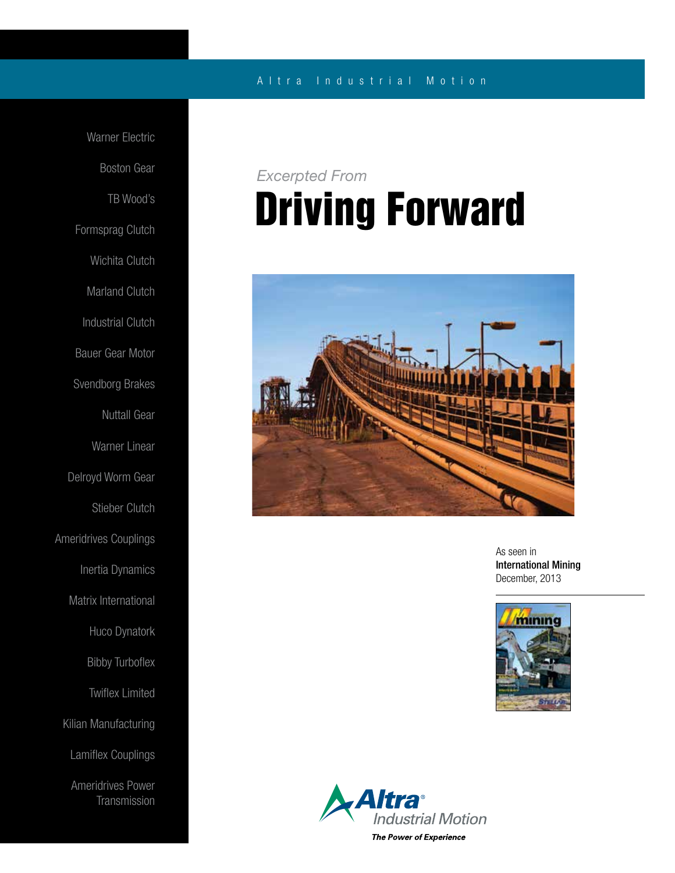### A l t r a Industrial Motion

Warner Electric Boston Gear TB Wood's Formsprag Clutch Wichita Clutch Marland Clutch Industrial Clutch Bauer Gear Motor Svendborg Brakes Nuttall Gear Warner Linear Delroyd Worm Gear Stieber Clutch Ameridrives Couplings Inertia Dynamics Matrix International Huco Dynatork Bibby Turboflex Twiflex Limited Kilian Manufacturing Lamiflex Couplings Ameridrives Power **Transmission** 

# Driving Forward *Excerpted From*



As seen in International Mining December, 2013



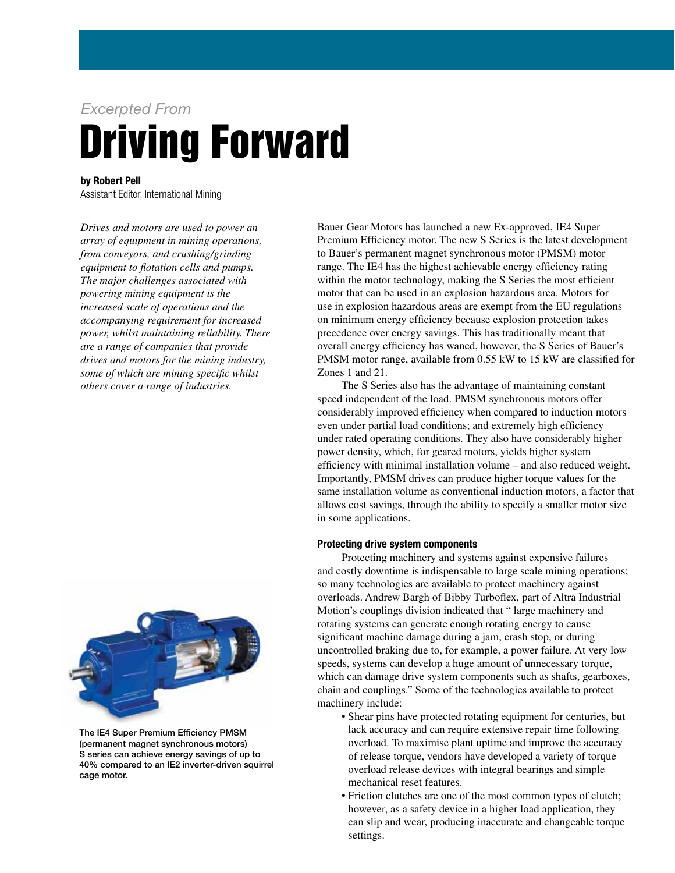# Driving Forward *Excerpted From*

by Robert Pell

Assistant Editor, International Mining

*Drives and motors are used to power an array of equipment in mining operations, from conveyors, and crushing/grinding equipment to flotation cells and pumps. The major challenges associated with powering mining equipment is the increased scale of operations and the accompanying requirement for increased power, whilst maintaining reliability. There are a range of companies that provide drives and motors for the mining industry, some of which are mining specific whilst others cover a range of industries.*



The IE4 Super Premium Efficiency PMSM (permanent magnet synchronous motors) S series can achieve energy savings of up to 40% compared to an IE2 inverter-driven squirrel cage motor.

Bauer Gear Motors has launched a new Ex-approved, IE4 Super Premium Efficiency motor. The new S Series is the latest development to Bauer's permanent magnet synchronous motor (PMSM) motor range. The IE4 has the highest achievable energy efficiency rating within the motor technology, making the S Series the most efficient motor that can be used in an explosion hazardous area. Motors for use in explosion hazardous areas are exempt from the EU regulations on minimum energy efficiency because explosion protection takes precedence over energy savings. This has traditionally meant that overall energy efficiency has waned, however, the S Series of Bauer's PMSM motor range, available from 0.55 kW to 15 kW are classified for Zones 1 and 21.

 The S Series also has the advantage of maintaining constant speed independent of the load. PMSM synchronous motors offer considerably improved efficiency when compared to induction motors even under partial load conditions; and extremely high efficiency under rated operating conditions. They also have considerably higher power density, which, for geared motors, yields higher system efficiency with minimal installation volume – and also reduced weight. Importantly, PMSM drives can produce higher torque values for the same installation volume as conventional induction motors, a factor that allows cost savings, through the ability to specify a smaller motor size in some applications.

### Protecting drive system components

 Protecting machinery and systems against expensive failures and costly downtime is indispensable to large scale mining operations; so many technologies are available to protect machinery against overloads. Andrew Bargh of Bibby Turboflex, part of Altra Industrial Motion's couplings division indicated that " large machinery and rotating systems can generate enough rotating energy to cause significant machine damage during a jam, crash stop, or during uncontrolled braking due to, for example, a power failure. At very low speeds, systems can develop a huge amount of unnecessary torque, which can damage drive system components such as shafts, gearboxes, chain and couplings." Some of the technologies available to protect machinery include:

- Shear pins have protected rotating equipment for centuries, but lack accuracy and can require extensive repair time following overload. To maximise plant uptime and improve the accuracy of release torque, vendors have developed a variety of torque overload release devices with integral bearings and simple mechanical reset features.
- Friction clutches are one of the most common types of clutch; however, as a safety device in a higher load application, they can slip and wear, producing inaccurate and changeable torque settings.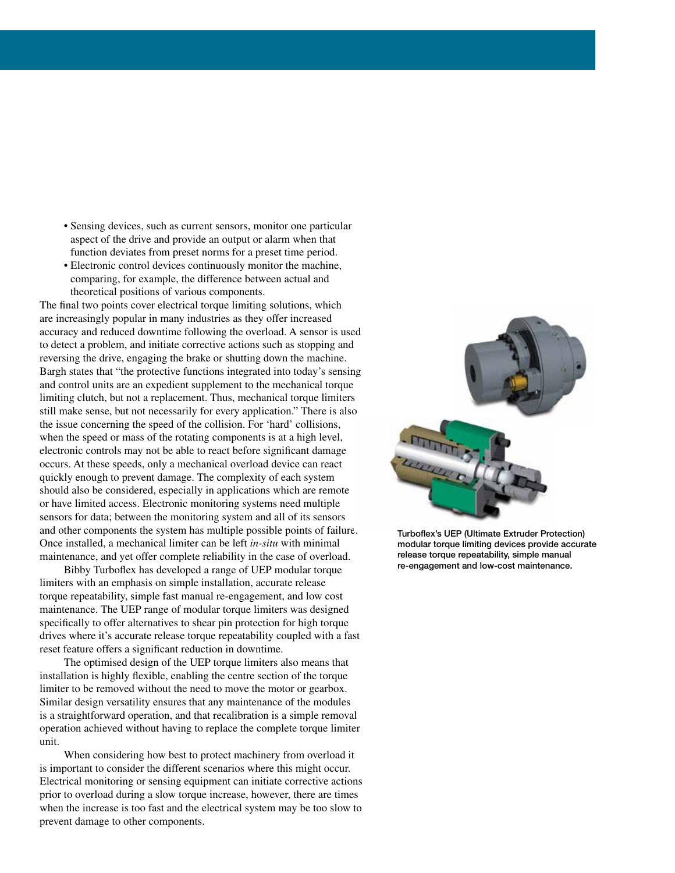- Sensing devices, such as current sensors, monitor one particular aspect of the drive and provide an output or alarm when that function deviates from preset norms for a preset time period.
- Electronic control devices continuously monitor the machine, comparing, for example, the difference between actual and theoretical positions of various components.

The final two points cover electrical torque limiting solutions, which are increasingly popular in many industries as they offer increased accuracy and reduced downtime following the overload. A sensor is used to detect a problem, and initiate corrective actions such as stopping and reversing the drive, engaging the brake or shutting down the machine. Bargh states that "the protective functions integrated into today's sensing and control units are an expedient supplement to the mechanical torque limiting clutch, but not a replacement. Thus, mechanical torque limiters still make sense, but not necessarily for every application." There is also the issue concerning the speed of the collision. For 'hard' collisions, when the speed or mass of the rotating components is at a high level, electronic controls may not be able to react before significant damage occurs. At these speeds, only a mechanical overload device can react quickly enough to prevent damage. The complexity of each system should also be considered, especially in applications which are remote or have limited access. Electronic monitoring systems need multiple sensors for data; between the monitoring system and all of its sensors and other components the system has multiple possible points of failure. Once installed, a mechanical limiter can be left *in-situ* with minimal maintenance, and yet offer complete reliability in the case of overload.

 Bibby Turboflex has developed a range of UEP modular torque limiters with an emphasis on simple installation, accurate release torque repeatability, simple fast manual re-engagement, and low cost maintenance. The UEP range of modular torque limiters was designed specifically to offer alternatives to shear pin protection for high torque drives where it's accurate release torque repeatability coupled with a fast reset feature offers a significant reduction in downtime.

 The optimised design of the UEP torque limiters also means that installation is highly flexible, enabling the centre section of the torque limiter to be removed without the need to move the motor or gearbox. Similar design versatility ensures that any maintenance of the modules is a straightforward operation, and that recalibration is a simple removal operation achieved without having to replace the complete torque limiter unit.

 When considering how best to protect machinery from overload it is important to consider the different scenarios where this might occur. Electrical monitoring or sensing equipment can initiate corrective actions prior to overload during a slow torque increase, however, there are times when the increase is too fast and the electrical system may be too slow to prevent damage to other components.



Turboflex's UEP (Ultimate Extruder Protection) modular torque limiting devices provide accurate release torque repeatability, simple manual re-engagement and low-cost maintenance.